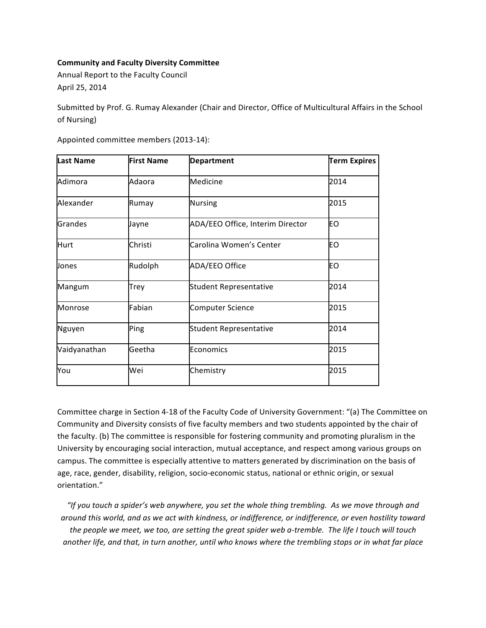## **Community and Faculty Diversity Committee**

Annual Report to the Faculty Council April 25, 2014

Submitted by Prof. G. Rumay Alexander (Chair and Director, Office of Multicultural Affairs in the School of Nursing)

| <b>Last Name</b> | <b>First Name</b> | <b>Department</b>                | <b>Term Expires</b> |
|------------------|-------------------|----------------------------------|---------------------|
| Adimora          | Adaora            | Medicine                         | 2014                |
| Alexander        | Rumay             | <b>Nursing</b>                   | 2015                |
| Grandes          | Jayne             | ADA/EEO Office, Interim Director | EO                  |
| Hurt             | Christi           | Carolina Women's Center          | EO                  |
| Jones            | Rudolph           | ADA/EEO Office                   | EO                  |
| Mangum           | Trey              | <b>Student Representative</b>    | 2014                |
| Monrose          | Fabian            | <b>Computer Science</b>          | 2015                |
| Nguyen           | Ping              | <b>Student Representative</b>    | 2014                |
| Vaidyanathan     | Geetha            | Economics                        | 2015                |
| You              | Wei               | Chemistry                        | 2015                |

Appointed committee members (2013-14):

Committee charge in Section 4-18 of the Faculty Code of University Government: "(a) The Committee on Community and Diversity consists of five faculty members and two students appointed by the chair of the faculty. (b) The committee is responsible for fostering community and promoting pluralism in the University by encouraging social interaction, mutual acceptance, and respect among various groups on campus. The committee is especially attentive to matters generated by discrimination on the basis of age, race, gender, disability, religion, socio-economic status, national or ethnic origin, or sexual orientation."

"If you touch a spider's web anywhere, you set the whole thing trembling. As we move through and *around this world, and as we act with kindness, or indifference, or indifference, or even hostility toward* the people we meet, we too, are setting the great spider web a-tremble. The life I touch will touch another life, and that, in turn another, until who knows where the trembling stops or in what far place